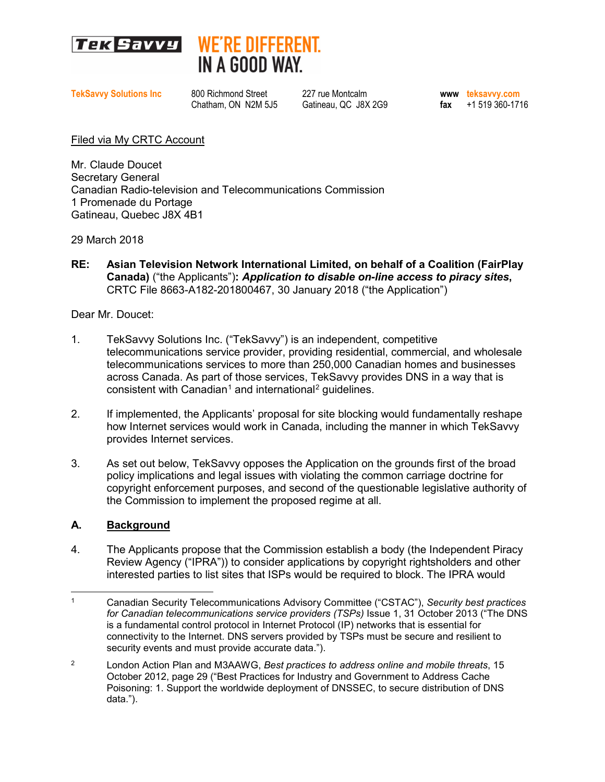



**TekSavvy Solutions Inc** 800 Richmond Street 227 rue Montcalm **busines are available 19 and 19 and 19 and 19 and 19 and 19 and 19 and 19 and 19 and 19 and 19 and 19 and 19 and 19 and 19 and 19 and 19 and 19 and 19 and 19 a**  $\text{fax} = +1 519 360 - 1716$ 

Filed via My CRTC Account

Mr. Claude Doucet Secretary General Canadian Radio-television and Telecommunications Commission 1 Promenade du Portage Gatineau, Quebec J8X 4B1

29 March 2018

**RE: Asian Television Network International Limited, on behalf of a Coalition (FairPlay Canada)** ("the Applicants")**:** *Application to disable on-line access to piracy sites***,** CRTC File 8663-A182-201800467, 30 January 2018 ("the Application")

Dear Mr. Doucet:

- 1. TekSavvy Solutions Inc. ("TekSavvy") is an independent, competitive telecommunications service provider, providing residential, commercial, and wholesale telecommunications services to more than 250,000 Canadian homes and businesses across Canada. As part of those services, TekSavvy provides DNS in a way that is consistent with Canadian<sup>[1](#page-0-0)</sup> and international<sup>[2](#page-0-1)</sup> quidelines.
- 2. If implemented, the Applicants' proposal for site blocking would fundamentally reshape how Internet services would work in Canada, including the manner in which TekSavvy provides Internet services.
- 3. As set out below, TekSavvy opposes the Application on the grounds first of the broad policy implications and legal issues with violating the common carriage doctrine for copyright enforcement purposes, and second of the questionable legislative authority of the Commission to implement the proposed regime at all.

## **A. Background**

4. The Applicants propose that the Commission establish a body (the Independent Piracy Review Agency ("IPRA")) to consider applications by copyright rightsholders and other interested parties to list sites that ISPs would be required to block. The IPRA would

<span id="page-0-0"></span> $\overline{a}$ 1 Canadian Security Telecommunications Advisory Committee ("CSTAC"), *Security best practices for Canadian telecommunications service providers (TSPs)* Issue 1, 31 October 2013 ("The DNS is a fundamental control protocol in Internet Protocol (IP) networks that is essential for connectivity to the Internet. DNS servers provided by TSPs must be secure and resilient to security events and must provide accurate data.").

<span id="page-0-1"></span><sup>2</sup> London Action Plan and M3AAWG, *Best practices to address online and mobile threats*, 15 October 2012, page 29 ("Best Practices for Industry and Government to Address Cache Poisoning: 1. Support the worldwide deployment of DNSSEC, to secure distribution of DNS data.").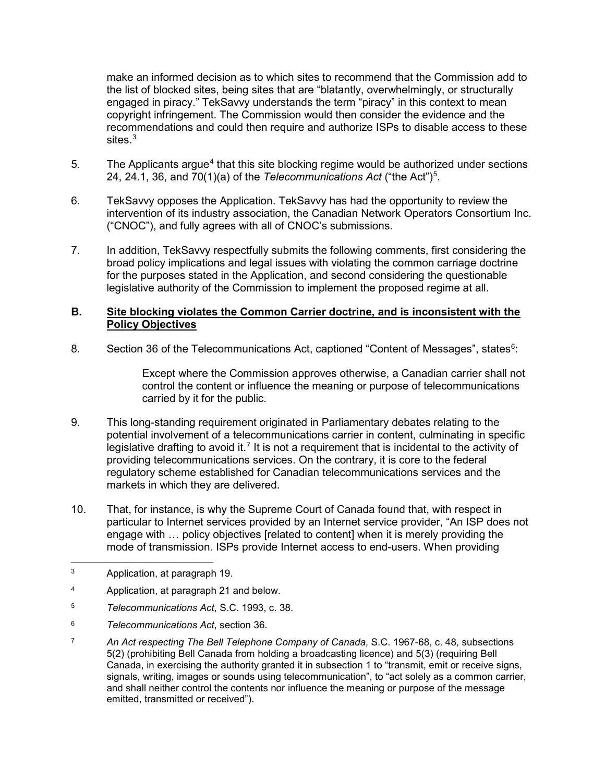make an informed decision as to which sites to recommend that the Commission add to the list of blocked sites, being sites that are "blatantly, overwhelmingly, or structurally engaged in piracy." TekSavvy understands the term "piracy" in this context to mean copyright infringement. The Commission would then consider the evidence and the recommendations and could then require and authorize ISPs to disable access to these sites.<sup>[3](#page-1-0)</sup>

- 5. The Applicants argue<sup>[4](#page-1-1)</sup> that this site blocking regime would be authorized under sections 24, 24.1, 36, and 70(1)(a) of the *Telecommunications Act* ("the Act")<sup>[5](#page-1-2)</sup>.
- 6. TekSavvy opposes the Application. TekSavvy has had the opportunity to review the intervention of its industry association, the Canadian Network Operators Consortium Inc. ("CNOC"), and fully agrees with all of CNOC's submissions.
- 7. In addition, TekSavvy respectfully submits the following comments, first considering the broad policy implications and legal issues with violating the common carriage doctrine for the purposes stated in the Application, and second considering the questionable legislative authority of the Commission to implement the proposed regime at all.

## **B. Site blocking violates the Common Carrier doctrine, and is inconsistent with the Policy Objectives**

8. Section 3[6](#page-1-3) of the Telecommunications Act, captioned "Content of Messages", states<sup>6</sup>:

Except where the Commission approves otherwise, a Canadian carrier shall not control the content or influence the meaning or purpose of telecommunications carried by it for the public.

- 9. This long-standing requirement originated in Parliamentary debates relating to the potential involvement of a telecommunications carrier in content, culminating in specific legislative drafting to avoid it.<sup>[7](#page-1-4)</sup> It is not a requirement that is incidental to the activity of providing telecommunications services. On the contrary, it is core to the federal regulatory scheme established for Canadian telecommunications services and the markets in which they are delivered.
- 10. That, for instance, is why the Supreme Court of Canada found that, with respect in particular to Internet services provided by an Internet service provider, "An ISP does not engage with … policy objectives [related to content] when it is merely providing the mode of transmission. ISPs provide Internet access to end-users. When providing
- <span id="page-1-0"></span>3 Application, at paragraph 19.
- <span id="page-1-1"></span><sup>4</sup> Application, at paragraph 21 and below.
- <span id="page-1-2"></span><sup>5</sup> *Telecommunications Act*, S.C. 1993, c. 38.
- <span id="page-1-3"></span><sup>6</sup> *Telecommunications Act*, section 36.
- <span id="page-1-4"></span><sup>7</sup> *An Act respecting The Bell Telephone Company of Canada,* S.C. 1967-68, c. 48, subsections 5(2) (prohibiting Bell Canada from holding a broadcasting licence) and 5(3) (requiring Bell Canada, in exercising the authority granted it in subsection 1 to "transmit, emit or receive signs, signals, writing, images or sounds using telecommunication", to "act solely as a common carrier, and shall neither control the contents nor influence the meaning or purpose of the message emitted, transmitted or received").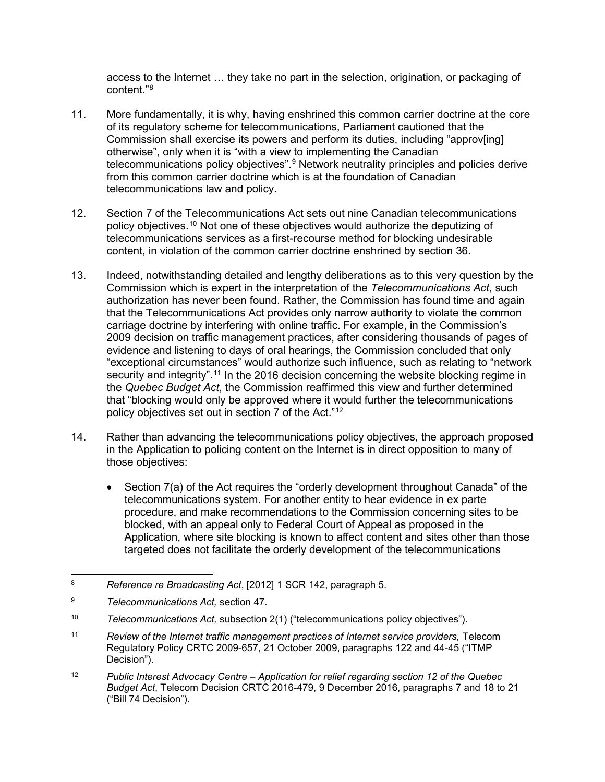access to the Internet … they take no part in the selection, origination, or packaging of content<sup>"[8](#page-2-0)</sup>

- 11. More fundamentally, it is why, having enshrined this common carrier doctrine at the core of its regulatory scheme for telecommunications, Parliament cautioned that the Commission shall exercise its powers and perform its duties, including "approv[ing] otherwise", only when it is "with a view to implementing the Canadian telecommunications policy objectives".<sup>[9](#page-2-1)</sup> Network neutrality principles and policies derive from this common carrier doctrine which is at the foundation of Canadian telecommunications law and policy.
- 12. Section 7 of the Telecommunications Act sets out nine Canadian telecommunications policy objectives.[10](#page-2-2) Not one of these objectives would authorize the deputizing of telecommunications services as a first-recourse method for blocking undesirable content, in violation of the common carrier doctrine enshrined by section 36.
- 13. Indeed, notwithstanding detailed and lengthy deliberations as to this very question by the Commission which is expert in the interpretation of the *Telecommunications Act*, such authorization has never been found. Rather, the Commission has found time and again that the Telecommunications Act provides only narrow authority to violate the common carriage doctrine by interfering with online traffic. For example, in the Commission's 2009 decision on traffic management practices, after considering thousands of pages of evidence and listening to days of oral hearings, the Commission concluded that only "exceptional circumstances" would authorize such influence, such as relating to "network security and integrity".<sup>[11](#page-2-3)</sup> In the 2016 decision concerning the website blocking regime in the *Quebec Budget Act*, the Commission reaffirmed this view and further determined that "blocking would only be approved where it would further the telecommunications policy objectives set out in section 7 of the Act."[12](#page-2-4)
- <span id="page-2-6"></span><span id="page-2-5"></span>14. Rather than advancing the telecommunications policy objectives, the approach proposed in the Application to policing content on the Internet is in direct opposition to many of those objectives:
	- Section 7(a) of the Act requires the "orderly development throughout Canada" of the telecommunications system. For another entity to hear evidence in ex parte procedure, and make recommendations to the Commission concerning sites to be blocked, with an appeal only to Federal Court of Appeal as proposed in the Application, where site blocking is known to affect content and sites other than those targeted does not facilitate the orderly development of the telecommunications

<span id="page-2-0"></span> <sup>8</sup> *Reference re Broadcasting Act*, [2012] 1 SCR 142, paragraph 5.

<span id="page-2-1"></span><sup>9</sup> *Telecommunications Act,* section 47.

<span id="page-2-2"></span><sup>10</sup> *Telecommunications Act,* subsection 2(1) ("telecommunications policy objectives").

<span id="page-2-3"></span><sup>&</sup>lt;sup>11</sup> Review of the Internet traffic management practices of Internet service providers, Telecom Regulatory Policy CRTC 2009-657, 21 October 2009, paragraphs 122 and 44-45 ("ITMP Decision").

<span id="page-2-4"></span><sup>12</sup> *Public Interest Advocacy Centre – Application for relief regarding section 12 of the Quebec Budget Act*, Telecom Decision CRTC 2016-479, 9 December 2016, paragraphs 7 and 18 to 21 ("Bill 74 Decision").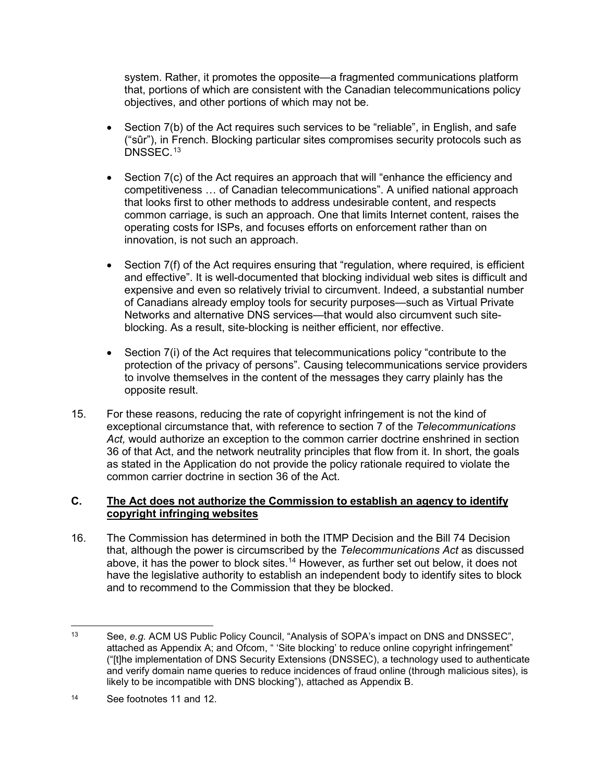system. Rather, it promotes the opposite—a fragmented communications platform that, portions of which are consistent with the Canadian telecommunications policy objectives, and other portions of which may not be.

- Section 7(b) of the Act requires such services to be "reliable", in English, and safe ("sûr"), in French. Blocking particular sites compromises security protocols such as DNSSEC.<sup>[13](#page-3-0)</sup>
- Section 7(c) of the Act requires an approach that will "enhance the efficiency and competitiveness … of Canadian telecommunications". A unified national approach that looks first to other methods to address undesirable content, and respects common carriage, is such an approach. One that limits Internet content, raises the operating costs for ISPs, and focuses efforts on enforcement rather than on innovation, is not such an approach.
- Section 7(f) of the Act requires ensuring that "regulation, where required, is efficient and effective". It is well-documented that blocking individual web sites is difficult and expensive and even so relatively trivial to circumvent. Indeed, a substantial number of Canadians already employ tools for security purposes—such as Virtual Private Networks and alternative DNS services—that would also circumvent such siteblocking. As a result, site-blocking is neither efficient, nor effective.
- Section 7(i) of the Act requires that telecommunications policy "contribute to the protection of the privacy of persons". Causing telecommunications service providers to involve themselves in the content of the messages they carry plainly has the opposite result.
- 15. For these reasons, reducing the rate of copyright infringement is not the kind of exceptional circumstance that, with reference to section 7 of the *Telecommunications Act,* would authorize an exception to the common carrier doctrine enshrined in section 36 of that Act, and the network neutrality principles that flow from it. In short, the goals as stated in the Application do not provide the policy rationale required to violate the common carrier doctrine in section 36 of the Act.

## **C. The Act does not authorize the Commission to establish an agency to identify copyright infringing websites**

16. The Commission has determined in both the ITMP Decision and the Bill 74 Decision that, although the power is circumscribed by the *Telecommunications Act* as discussed above, it has the power to block sites.<sup>[14](#page-3-1)</sup> However, as further set out below, it does not have the legislative authority to establish an independent body to identify sites to block and to recommend to the Commission that they be blocked.

<span id="page-3-0"></span> <sup>13</sup> See, *e.g.* ACM US Public Policy Council, "Analysis of SOPA's impact on DNS and DNSSEC", attached as Appendix A; and Ofcom, " 'Site blocking' to reduce online copyright infringement" ("[t]he implementation of DNS Security Extensions (DNSSEC), a technology used to authenticate and verify domain name queries to reduce incidences of fraud online (through malicious sites), is likely to be incompatible with DNS blocking"), attached as Appendix B.

<span id="page-3-1"></span><sup>14</sup> See footnotes [11](#page-2-5) and [12.](#page-2-6)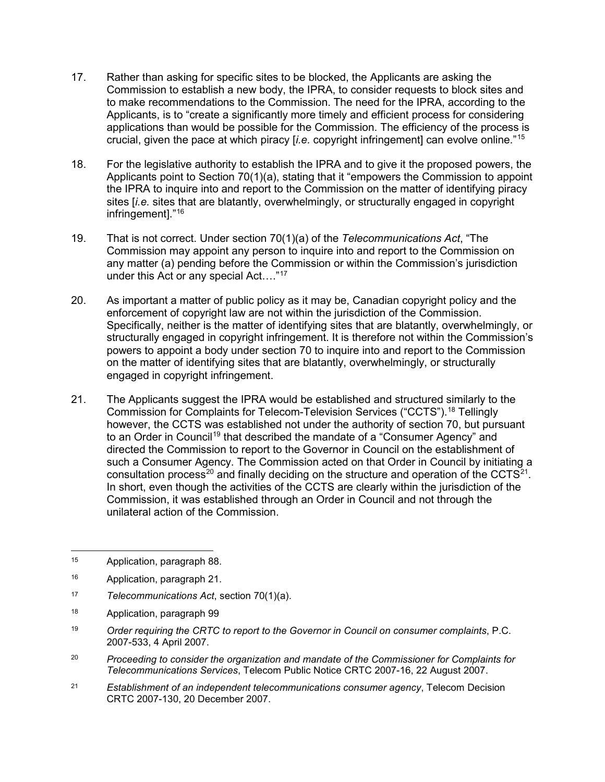- 17. Rather than asking for specific sites to be blocked, the Applicants are asking the Commission to establish a new body, the IPRA, to consider requests to block sites and to make recommendations to the Commission. The need for the IPRA, according to the Applicants, is to "create a significantly more timely and efficient process for considering applications than would be possible for the Commission. The efficiency of the process is crucial, given the pace at which piracy [*i.e.* copyright infringement] can evolve online."[15](#page-4-0)
- 18. For the legislative authority to establish the IPRA and to give it the proposed powers, the Applicants point to Section 70(1)(a), stating that it "empowers the Commission to appoint the IPRA to inquire into and report to the Commission on the matter of identifying piracy sites [*i.e.* sites that are blatantly, overwhelmingly, or structurally engaged in copyright infringement]."[16](#page-4-1)
- 19. That is not correct. Under section 70(1)(a) of the *Telecommunications Act*, "The Commission may appoint any person to inquire into and report to the Commission on any matter (a) pending before the Commission or within the Commission's jurisdiction under this Act or any special Act…."[17](#page-4-2)
- 20. As important a matter of public policy as it may be, Canadian copyright policy and the enforcement of copyright law are not within the jurisdiction of the Commission. Specifically, neither is the matter of identifying sites that are blatantly, overwhelmingly, or structurally engaged in copyright infringement. It is therefore not within the Commission's powers to appoint a body under section 70 to inquire into and report to the Commission on the matter of identifying sites that are blatantly, overwhelmingly, or structurally engaged in copyright infringement.
- 21. The Applicants suggest the IPRA would be established and structured similarly to the Commission for Complaints for Telecom-Television Services ("CCTS").[18](#page-4-3) Tellingly however, the CCTS was established not under the authority of section 70, but pursuant to an Order in Council<sup>[19](#page-4-4)</sup> that described the mandate of a "Consumer Agency" and directed the Commission to report to the Governor in Council on the establishment of such a Consumer Agency. The Commission acted on that Order in Council by initiating a consultation process<sup>[20](#page-4-5)</sup> and finally deciding on the structure and operation of the CCTS<sup>21</sup>. In short, even though the activities of the CCTS are clearly within the jurisdiction of the Commission, it was established through an Order in Council and not through the unilateral action of the Commission.

- <span id="page-4-2"></span><sup>17</sup> *Telecommunications Act*, section 70(1)(a).
- <span id="page-4-3"></span><sup>18</sup> Application, paragraph 99
- <span id="page-4-4"></span><sup>19</sup> *Order requiring the CRTC to report to the Governor in Council on consumer complaints*, P.C. 2007-533, 4 April 2007.
- <span id="page-4-5"></span><sup>20</sup> *Proceeding to consider the organization and mandate of the Commissioner for Complaints for Telecommunications Services*, Telecom Public Notice CRTC 2007-16, 22 August 2007.
- <span id="page-4-6"></span><sup>21</sup> *Establishment of an independent telecommunications consumer agency*, Telecom Decision CRTC 2007-130, 20 December 2007.

<span id="page-4-0"></span> <sup>15</sup> Application, paragraph 88.

<span id="page-4-1"></span><sup>16</sup> Application, paragraph 21.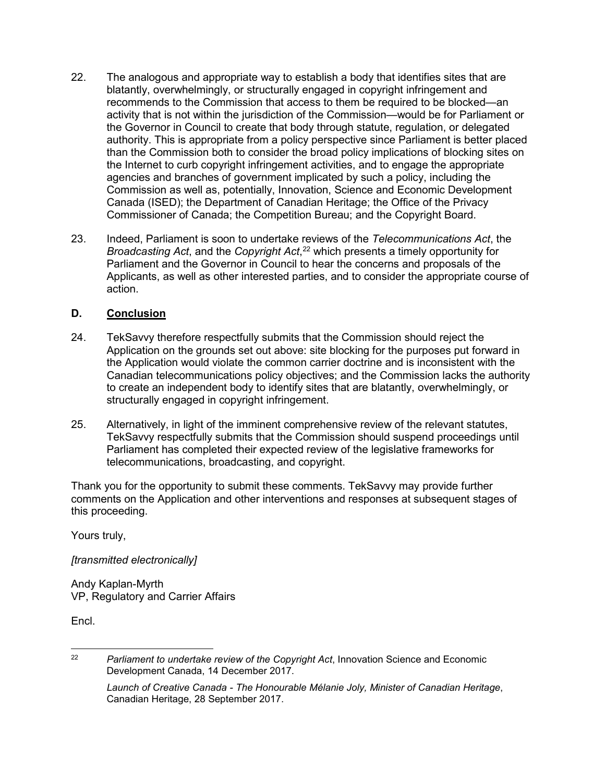- 22. The analogous and appropriate way to establish a body that identifies sites that are blatantly, overwhelmingly, or structurally engaged in copyright infringement and recommends to the Commission that access to them be required to be blocked—an activity that is not within the jurisdiction of the Commission—would be for Parliament or the Governor in Council to create that body through statute, regulation, or delegated authority. This is appropriate from a policy perspective since Parliament is better placed than the Commission both to consider the broad policy implications of blocking sites on the Internet to curb copyright infringement activities, and to engage the appropriate agencies and branches of government implicated by such a policy, including the Commission as well as, potentially, Innovation, Science and Economic Development Canada (ISED); the Department of Canadian Heritage; the Office of the Privacy Commissioner of Canada; the Competition Bureau; and the Copyright Board.
- 23. Indeed, Parliament is soon to undertake reviews of the *Telecommunications Act*, the *Broadcasting Act*, and the *Copyright Act*, [22](#page-5-0) which presents a timely opportunity for Parliament and the Governor in Council to hear the concerns and proposals of the Applicants, as well as other interested parties, and to consider the appropriate course of action.

## **D. Conclusion**

- 24. TekSavvy therefore respectfully submits that the Commission should reject the Application on the grounds set out above: site blocking for the purposes put forward in the Application would violate the common carrier doctrine and is inconsistent with the Canadian telecommunications policy objectives; and the Commission lacks the authority to create an independent body to identify sites that are blatantly, overwhelmingly, or structurally engaged in copyright infringement.
- 25. Alternatively, in light of the imminent comprehensive review of the relevant statutes, TekSavvy respectfully submits that the Commission should suspend proceedings until Parliament has completed their expected review of the legislative frameworks for telecommunications, broadcasting, and copyright.

Thank you for the opportunity to submit these comments. TekSavvy may provide further comments on the Application and other interventions and responses at subsequent stages of this proceeding.

Yours truly,

*[transmitted electronically]*

Andy Kaplan-Myrth VP, Regulatory and Carrier Affairs

Encl.

<span id="page-5-0"></span> <sup>22</sup> *Parliament to undertake review of the Copyright Act*, Innovation Science and Economic Development Canada, 14 December 2017.

*Launch of Creative Canada - The Honourable Mélanie Joly, Minister of Canadian Heritage*, Canadian Heritage, 28 September 2017.